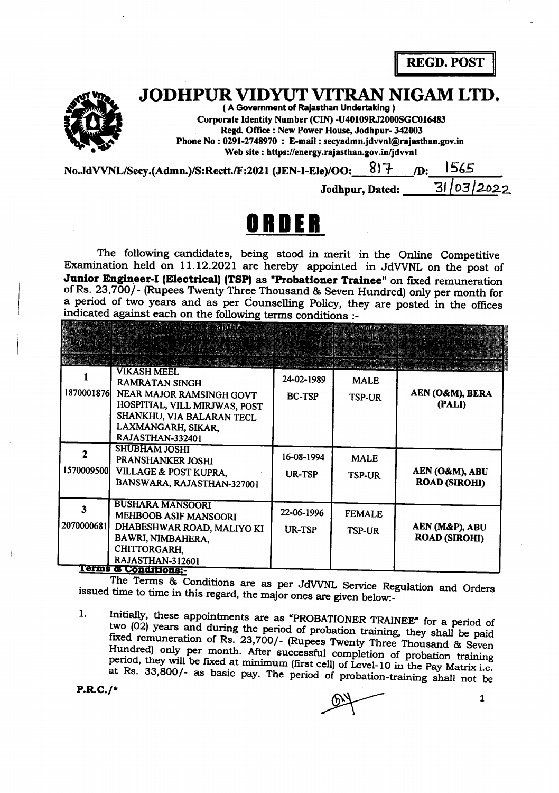REGD. POST

Corporate Identity Number (CIN) -U40109RJ2000SGC016483 JODHPUR VIDYUT VITRAN NIGAM LTD.

 $JODHPUK VID YUI VII KAND f$ <br>
(A Government of Rajasthan Undertaking)<br>
Corporate Identity Number (CIN) -U40109RJ200<br>
Regd. Office : New Power House, Jodhpur-<br>
Phone No : 0291-2748970 : E-mail : secyadmn.jdvvnl(<br>
Web site : https://ene Regd. Office : New Power House, Jodhpur- 342003 Phone No : 0291-2748970 : E-mail : secyadmn.jdvvnl@rajasthan.gov.in Web site : https://energy.rajasthan.gov.in/jdwnl

| No.JdVVNL/Secy.(Admn.)/S:Rectt./F:2021 (JEN-I-Ele)/OO: |                 | /D: 1565   |  |
|--------------------------------------------------------|-----------------|------------|--|
|                                                        | Jodhpur, Dated: | 31/03/2022 |  |

## ORDER

The following candidates, being stood in merit in the Online Competitive Examination held on 11.12.2021 are hereby appointed in JdWNL on the post of Junior Engineer-I (Electrical) (TSP) as "Probationer Trainee" on fixed remuneration of Rs. 23,700/- (Rupees Twenty Three Thousand & Seven Hundred) only per month for a period of two years and as per Counselling Policy, they are posted in the offices indicated against each on the following terms conditions :-

|            | ann o a hann nan a<br>1899 MARTING PARTY                                                                                                                                        |                             | Gomes S.<br>varattal           |                                        |
|------------|---------------------------------------------------------------------------------------------------------------------------------------------------------------------------------|-----------------------------|--------------------------------|----------------------------------------|
| 1870001876 | <b>VIKASH MEEL</b><br><b>RAMRATAN SINGH</b><br>NEAR MAJOR RAMSINGH GOVT<br>HOSPITIAL, VILL MIRJWAS, POST<br>SHANKHU, VIA BALARAN TECL<br>LAXMANGARH, SIKAR,<br>RAJASTHAN-332401 | 24-02-1989<br><b>BC-TSP</b> | <b>MALE</b><br><b>TSP-UR</b>   | AEN (O&M), BERA<br>(PALI)              |
| 1570009500 | <b>SHUBHAM JOSHI</b><br>PRANSHANKER JOSHI<br>VILLAGE & POST KUPRA,<br>BANSWARA, RAJASTHAN-327001                                                                                | 16-08-1994<br><b>UR-TSP</b> | <b>MALE</b><br><b>TSP-UR</b>   | AEN (O&M), ABU<br><b>ROAD (SIROHI)</b> |
| 2070000681 | <b>BUSHARA MANSOORI</b><br>MEHBOOB ASIF MANSOORI<br>DHABESHWAR ROAD, MALIYO KI<br>BAWRI, NIMBAHERA,<br>CHITTORGARH,<br>RAJASTHAN-312601<br><b>Terms &amp; Conditions:-</b>      | 22-06-1996<br>UR-TSP        | <b>FEMALE</b><br><b>TSP-UR</b> | AEN (M&P), ABU<br><b>ROAD (SIROHI)</b> |

issued time to time in this regard, the major ones are given below:-The Terms & Conditions are as per JdVVNL Service Regulation and Orders

1. Initially, these appointments are as "PROBATIONER TRAINEE" for a period of two (02) years and during the period of probation training, they shall be paid Hundred) only per month. After successful completion of probation training period, they will be fixed at minimum (first cell) of Level-10 in the Pay Matrix i.e. fixed remuneration of Rs. 23,700/- (Rupees Twenty Three Thousand & Seven<br>Hundred) only per month. After successful completion of probation training<br>period, they will be fixed at minimum (first cell) of Level-10 in the Pay

P.R.C.7\*

 $\mathbf{1}$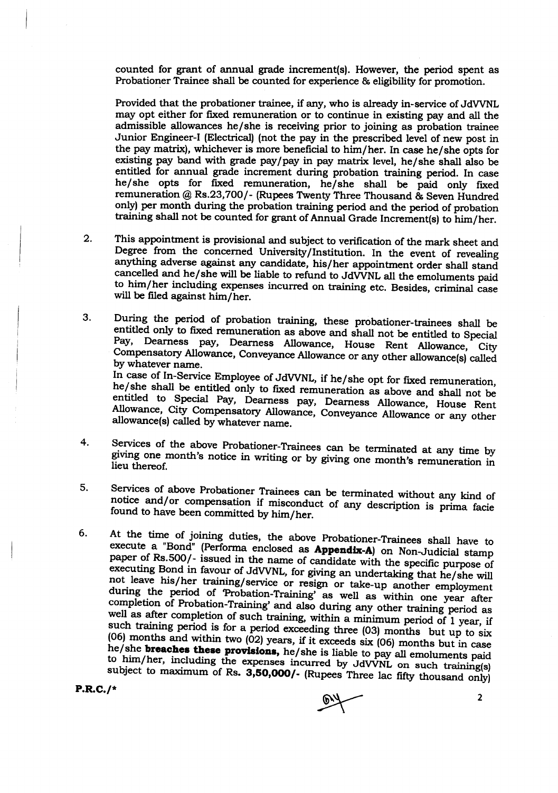counted for grant of annual grade increment(s). However, the period spent as Probationer Trainee shall be counted for experience & eligibility for promotion.

Provided that the probationer trainee, if any, who is already in-service of JdVVNL may opt either for fixed remuneration or to continue in existing pay and all the admissible allowances he/she is receiving prior to joining as probation trainee Junior Engineer-I (Electrical) (not the pay in the prescribed level of new post in the pay matrix), whichever is more beneficial to him/her. In case he/she opts for existing pay band with grade paylpay in pay matrix level, he/she shall also be entitled for annual grade increment during probation training period. In case he/she opts for fixed remuneration, he/she shall be paid only frxed remuneration @ Rs.23,7OOl- (Rupees TWenty Three Thousand & Seven Hundred only) per month during the probation training period and the period of probation In the period of probation of the same period and the period of probation<br>training shall not be counted for grant of Annual Grade Increment(s) to him/her

- $2.$ This appointment is provisional and subject to verification of the mark sheet and Degree from the concerned University/Institution. In the event of revealing anything adverse against any candidate, his/her appointment orde
- 3. During the period of probation training, these probationer-trainees shall be entitled only to fixed remuneration as above and shall not be entitled to Special Pay, Dearness pay, Dearness Allowance, House Rent Allowance, Ci Compensatory Allowance, Conveyance Allowance or any other allowance(s) called<br>by whatever name.<br>In case of In-Service Employee of JdVVNL, if he/she opt for fixed remuneration, he/she shall be entitled only to fixed remuneration as above and shall not be entitled to Special Pay, Dearness pay, Dearness Allowance, House Rent Allowance, City Compensatory Allowance, Conveyance Allowance or any other allowance(s) called by whatever name.
- $4.$ gtving Services of the above Probationer-Trainees can be terminated at any time by giving one month's notice in writing or by giving one month's remuneration in lieu thereof.
- 5. Services of above Probationer Trainees can be terminated without any kind of notice and/or compensation if misconduct of any description is prima facie found to have been committed by him/her. notice and/or compensation if misconduct of any description is prima facie
- 6. At the time of joining duties, the above Probationer-Trainees shall have to execute a "Bond" (Performa enclosed as **Appendix-A**) on Non-Judicial stamp paper of Rs.500/- issued in the name of candidate with the specific not executing Bond in favour of JdVVNL, for giving an undertaking that he/she will<br>not leave his/her-training/service or resign or take-up another employment<br>during the period of 'Probation-Training' as well as within one vear during the period of 'Probation-Training' as well as within one year after completion of Probation-Training' and also during any other training period as well as after completion of such training, within a minimum period of 1 year, if such training period is for a period exceeding three  $(03)$  months but up to six  $(06)$  months and within two  $(02)$  years, if it exceeds six  $(06)$  months but in case he/she **breaches these provisions**, he/she is liable to him/her, including the expenses incurred by JdVVNL on such training(s) subject to maximum of Rs. 3,50,000/- (Rupees Three lac fifty thousand only)

P.R.C.7\*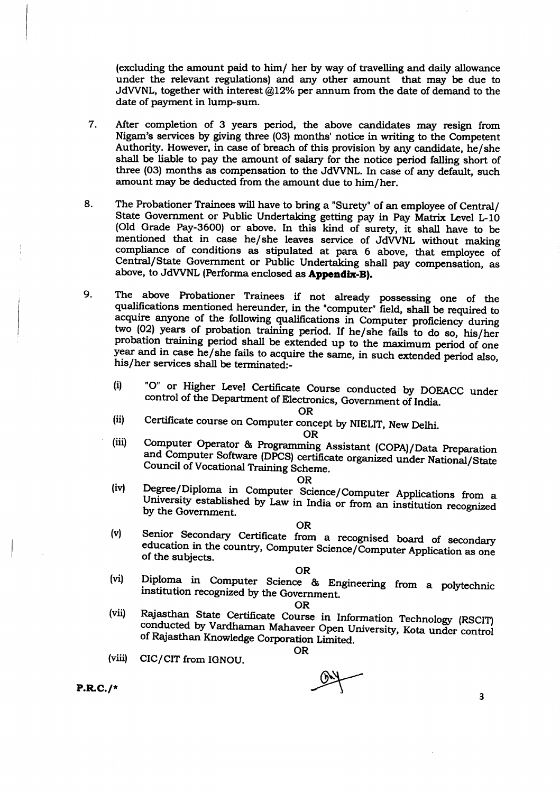(excluding the amount paid to him/ her by way of travelling and daily allowance under the relevant regulations) and any other amount that may be due to JdVVNL, together with interest  $@12%$  per annum from the date of demand to the date of payment in lump-sum.

- 7. After completion of 3 years period, the above candidates may resign from Nigam's services by grving three (03) months' notice in writing to the Competent Authority. However, in case of breach of this provision by any candidate, he/she shall be liable to pay the amount of salary for the notice period falling short of three (03) months as compensation to the JdWNL. In case of any default, such amount may be deducted from the amount due to him/her.
- 8. The Probationer Trainees will have to bring a "Surety" of an employee of Central/ State Government or Public Undertaking getting pay in Pay Matrix Level L-10 (Old Grade Pay-36O0) or above. In this kind of surety, it shalt have to be mentioned that in case he/she leaves service of JdVVNL without making compliance of conditions as stipulated at para 6 above, that employee of Central/State Government or Public Undertaking shall pay compensation, as above, to JdVVNL (Performa enclosed as **Appendix-B).**
- The above Probationer Trainees if not already possessing one of the qualifications mentioned hereunder, in the "computer" field, shall be required to acquire anyone of the following qualifications in Computer proficiency 9.
	- (i) "O" or Higher Level Certificate Course conducted by DOEACC under control of the Department of Electronics, Government of India.<br>OR

(ii) Certificate course on Computer concept by NIELIT, New Delhi.<br>OR

(iii) Computer Operator & Programming Assistant (COPA)/Data Preparation and Computer Software (DPCS) certificate organized under National/State Council of Vocational Training Scheme.

- (iv) Degree/Diploma in Computer Science/Computer Applications from a University established by Law in India or from an institution recognized by the Government.
- OR<br>
(v) Senior Secondary Certificate from a recognised board of secondary<br>
education in the country, Computer Science/Computer Application as one<br>
of the subjects.

OR (vi) Diploma in computer science & Engineering from a polytechnic institution recognized by the Government.

- OR<br>
(vii) Rajasthan State Certificate Course in Information Technology (RSCIT)<br>
conducted by Vardhaman Mahaveer Open University, Kota under control<br>
of Rajasthan Knowledge Corporation Limited.
	-

(viii) CIC/CIT from IGNOU. OR

 $\overline{\mathbf{3}}$ 

P.R.C.7\*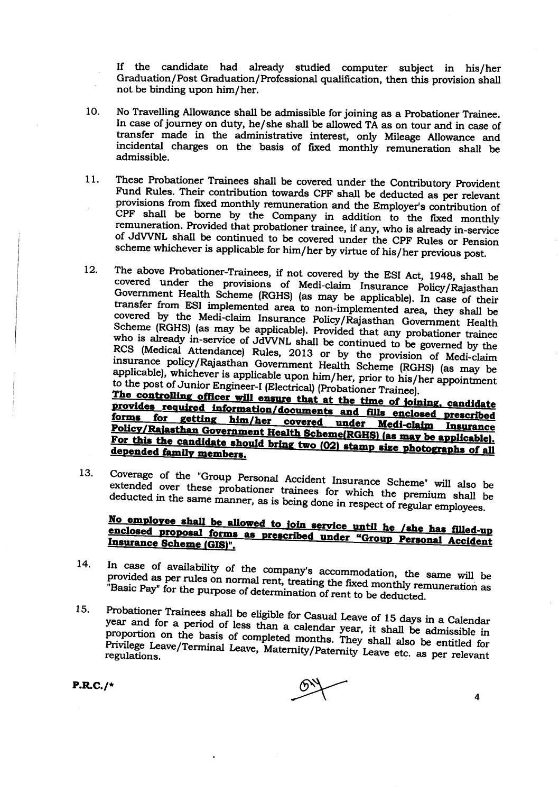If the candidate had already studied computer subject in his/her Graduation/Post Graduation/Professional qualification, then this provision shall not be binding upon him/her.

- No Travelling Allowance shall be admissible for joining as a Probationer Trainee. 10. In case of journey on duty, he/she shall be allowed TA as on tour and in case of transfer made in the administrative interest, only Mileage Allowance and incidental charges on the basis of fixed monthly remuneration shall be admissible.
- These Probationer Trainees shall be covered under the Contributory Provident 11. Fund Rules. Their contribution towards CPF shall be deducted as per relevant provisions from fixed monthly remuneration and the Employer's contribution of CPF shall be borne by the Company in addition to the fixed monthly remuneration. Provided that probationer trainee, if any, who is already in-service of JdVVNL shall be continued to be covered under the CPF Rules or Pension scheme whichever is applicable for him/her by virtue of his/her previous post.
- The above Probationer-Trainees, if not covered by the ESI Act, 1948, shall be  $12.$ covered under the provisions of Medi-claim Insurance Policy/Rajasthan Government Health Scheme (RGHS) (as may be applicable). In case of their transfer from ESI implemented area to non-implemented area, they shall be covered by the Medi-claim Insurance Policy/Rajasthan Government Health Scheme (RGHS) (as may be applicable). Provided that any probationer trainee who is already in-service of JdVVNL shall be continued to be governed by the RCS (Medical Attendance) Rules, 2013 or by the provision of Medi-claim insurance policy/Rajasthan Government Health Scheme (RGHS) (as may be applicable), whichever is applicable upon him/her, prior to his/her appointment to the post of Junior Engineer-I (Electrical) (Probationer Trainee). The controlling officer will ensure that at the time of joining, candidate provides required information/documents and fills enclosed prescribed forms for getting him/her covered under Medi-claim Insurance Policy/Rajasthan Government Health Scheme(RGHS) (as may be applicable).

For this the candidate should bring two (02) stamp size photographs of all depended family members. 13.

Coverage of the "Group Personal Accident Insurance Scheme" will also be extended over these probationer trainees for which the premium shall be deducted in the same manner, as is being done in respect of regular employees.

## No employee shall be allowed to join service until he /she has filled-up enclosed proposal forms as prescribed under "Group Personal Accident Insurance Scheme (GIS)".

- In case of availability of the company's accommodation, the same will be 14. provided as per rules on normal rent, treating the fixed monthly remuneration as "Basic Pay" for the purpose of determination of rent to be deducted.
- Probationer Trainees shall be eligible for Casual Leave of 15 days in a Calendar  $15.$ year and for a period of less than a calendar year, it shall be admissible in proportion on the basis of completed months. They shall also be entitled for Privilege Leave/Terminal Leave, Maternity/Paternity Leave etc. as per relevant

 $P.R.C./*$ 

 $\overline{\mathbf{4}}$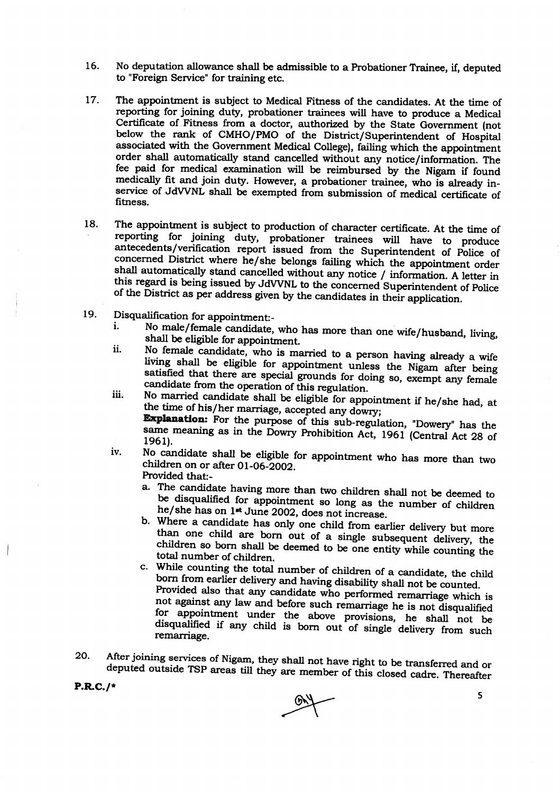- No deputation allowance shall be admissible to a Probationer Trainee, if, deputed 16. to "Foreign Service" for training etc.
- The appointment is subject to Medical Fitness of the candidates. At the time of 17. reporting for joining duty, probationer trainees will have to produce a Medical Certificate of Fitness from a doctor, authorized by the State Government (not below the rank of CMHO/PMO of the District/Superintendent of Hospital associated with the Government Medical College), failing which the appointment order shall automatically stand cancelled without any notice/information. The fee paid for medical examination will be reimbursed by the Nigam if found medically fit and join duty. However, a probationer trainee, who is already inservice of JdVVNL shall be exempted from submission of medical certificate of fitness.
- The appointment is subject to production of character certificate. At the time of 18. reporting for joining duty, probationer trainees will have to produce antecedents/verification report issued from the Superintendent of Police of concerned District where he/she belongs failing which the appointment order shall automatically stand cancelled without any notice / information. A letter in this regard is being issued by JdVVNL to the concerned Superintendent of Police of the District as per address given by the candidates in their application.
- 19. Disqualification for appointment:-
	- No male/female candidate, who has more than one wife/husband, living,  $\mathbf{i}$ . shall be eligible for appointment.
	- No female candidate, who is married to a person having already a wife ii. living shall be eligible for appointment unless the Nigam after being satisfied that there are special grounds for doing so, exempt any female candidate from the operation of this regulation.
	- No married candidate shall be eligible for appointment if he/she had, at iii. the time of his/her marriage, accepted any dowry; **Explanation:** For the purpose of this sub-regulation, "Dowery" has the same meaning as in the Dowry Prohibition Act, 1961 (Central Act 28 of 1961).
	- No candidate shall be eligible for appointment who has more than two iv. children on or after 01-06-2002. Provided that:
		- a. The candidate having more than two children shall not be deemed to be disqualified for appointment so long as the number of children he/she has on 1<sup>\*</sup> June 2002, does not increase.
		- b. Where a candidate has only one child from earlier delivery but more than one child are born out of a single subsequent delivery, the children so born shall be deemed to be one entity while counting the total number of children.
		- c. While counting the total number of children of a candidate, the child born from earlier delivery and having disability shall not be counted. Provided also that any candidate who performed remarriage which is not against any law and before such remarriage he is not disqualified for appointment under the above provisions, he shall not be disqualified if any child is born out of single delivery from such remarriage.
- After joining services of Nigam, they shall not have right to be transferred and or 20. deputed outside TSP areas till they are member of this closed cadre. Thereafter

 $P.R.C./*$ 

5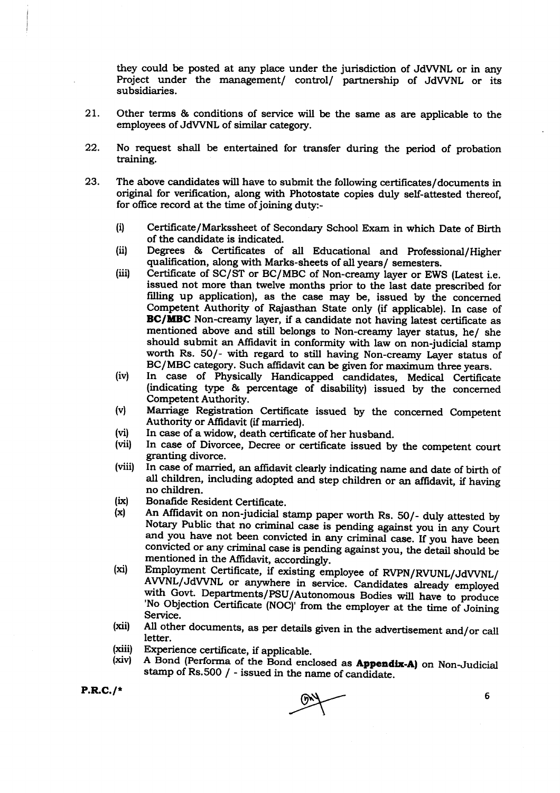they could be posted at any place under the jurisdiction of JdWNL or in any Project under the management/ control/ partnership of JdWNL or its subsidiaries.

- 21. Other terms & conditions of service will be the same as are applicable to the employees of JdWNL of similar category.
- 22. No request shall be entertained for transfer during the period of probation training.
- 23. The above candidates will have to submit the following certificates/documents in original for verification, along with Photostate copies duly self-attested thereof, for office record at the time of joining duty:-
	- (i) Certificate/Markssheet of Secondary School Exam in which Date of Birth
	- (ii) Degrees & Certificates of all Educational and Professional/Higher qualification, along with Marks-sheets of all years/ semesters.
	- (iii) Certificate of SC/ST or BC/MBC of Non-creamy layer or EWS (Latest i.e. issued not more than twelve months prior to the last date prescribed for filling up application), as the case may be, issued by the concerned Competent Authority of Rajasthan State only (if applicable). In case of BC/MBC Non-creamy layer, if a candidate not having latest certificate as mentioned above and still belongs to Non-creamy layer status, he/ she should submit an Affidavit in conformity with law on non-judicial stamp worth Rs. 50/- with regard to still having Non-creamy Layer status of BC/MBC category. Such affidavit can be given for maximum three years.
	- (iv) In case of Physically Handicapped candidates, Medical Certificate (indicating type & percentage of disability) issued by the concerned
	- (v) Marriage Registration Certificate issued by the concerned Competent Authority or Affidavit (if married).
	-
	- (vi) In case of a widow, death certificate of her husband.<br>(vii) In case of Divorcee, Decree or certificate issued by the competent court granting divorce.
	- (viii) In case of married, an affidavit clearly indicating name and date of birth of all children, including adopted and step children or an affidavit, if having no children.
	- (ix)
	- Bonafide Resident Certificate.<br>An Affidavit on non-judicial stamp paper worth Rs. 50/- duly attested by Notary Public that no criminal case is pending against you in any Court<br>and you have not been convicted in any criminal case. If you have been<br>convicted or any criminal case is pending against you, the detail should be<br>men  $(x)$
	- AVVNL/JdVVNL or anywhere in service. Candidates already employed with Govt. Departments/PSU/Autonomous Bodies will have to produce 'No Objection Certificate (NOC)' from the employer at the time of Joining<br>Service. (xi)
	- All other documents, as per details given in the advertisement and/or call letter. (xii)
	- Experience certificate, if applicable. (xiil)
	- A Bond (Performa of the Bond enclosed as Appendix-A) on Non-Judicial stamp of Rs.500 / - issued in the name of candidate. (xiv)

P.R.C.7\*

6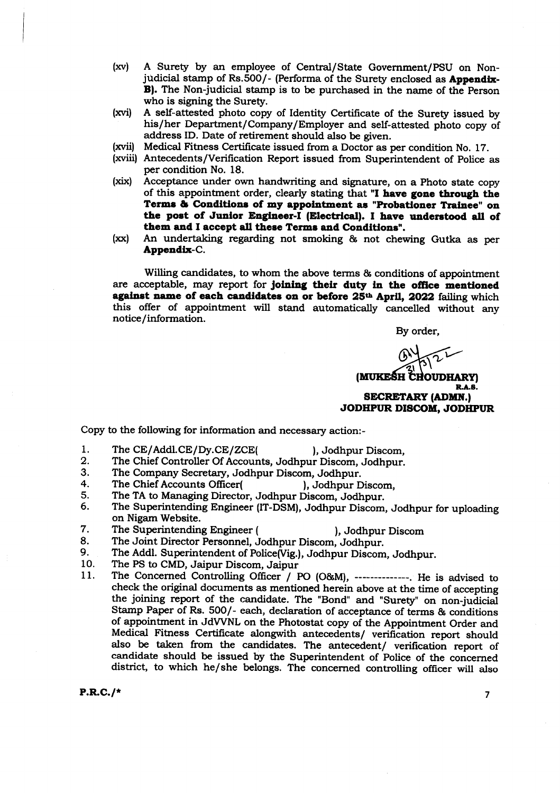- (xv) A Surety by an employee of Central/State Government/PSU on Nonjudicial stamp of Rs.500/- (Performa of the Surety enclosed as **Appendix-**B). The Non-judicial stamp is to be purchased in the name of the Person who is signing the Surety.
- (xvi) A self-attested photo copy of Identity Certificate of the Surety issued by his/her Department/Company/Employer and self-attested photo copy of address ID. Date of retirement should also be given.
- (xvii) Medical Fitness Certificate issued from a Doctor as per condition No. 17.
- (xviii) Antecedents/Verification Report issued from Superintendent of Police as per condition No. 18.
- (xix) Acceptance under own handwriting and signature, on a Photo state copy of this appointment order, clearly stating that "I have gone through the Terms & Conditions of my appointment as "Probationer Trainee" on the post of Junior Engineer-I (Electrical). I have understood all of them and I accept all these Terms and Conditions".
- (xx) An undertaking regarding not smoking & not chewing Gutka as per Appendix-C.

Willing candidates, to whom the above terms & conditions of appointment are acceptable, may report for joining their duty in the office mentioned against name of each candidates on or before 25<sup>th</sup> April, 2022 failing which this offer of appointment will stand automatically cancelled without any notice/information.

By order,

(MUKEŚH CHOUDHARY) R.A.B.

SECRETARY (ADMN.) JODHPUR DISCOM, JODHPUR

Copy to the following for information and necessary action:-

- The CE/Addl. CE/Dy. CE/ZCE( ), Jodhpur Discom, 1.
	-
- The Chief Controller Of Accounts, Jodhpur Discom, Jodhpur. 2.
- The Company Secretary, Jodhpur Discom, Jodhpur. 3.
- The Chief Accounts Officer(
), Jodhpur Discom, 4.
- The TA to Managing Director, Jodhpur Discom, Jodhpur. 5.
- The superintending Engineer (IT-DSM), Jodhpur Discom, Jodhpur for uploading on Nigam Website. 6.
- 7. The Superintending Engineer ( ), Jodhpur Discom
- 8.
- The Joint Director Personnel, Jodhpur Discom, Jodhpur.<br>The Addl. Superintendent of Police(Vig.), Jodhpur Discom, Jodhpur.
- 
- 9. The Addl. Superintendent of Police(Vig.), Jodhpur Discom, Jodhpur.<br>10. The PS to CMD, Jaipur Discom, Jaipur<br>11. The Concerned Controlling Officer / PO (O&M), -------------. He is advised to check the original documents as mentioned herein above at the time of accepting the joining report of the candidate. The "Bond" and "Surety" on non-judicial Stamp Paper of Rs. 500/- each, declaration of acceptance of terms & conditions of appointment in JdWNL on the Photostat copy of the Appointment Order and Medical Fitness Certificate alongwith antecedents/ verification report should also be taken from the candidates. The antecedent/ verification report of candidate should be issued by the Superintendent of Police of the concerned district, to which he/she belongs. The concerned controlling officer will also

 $P.R.C./*$ 

 $\overline{7}$